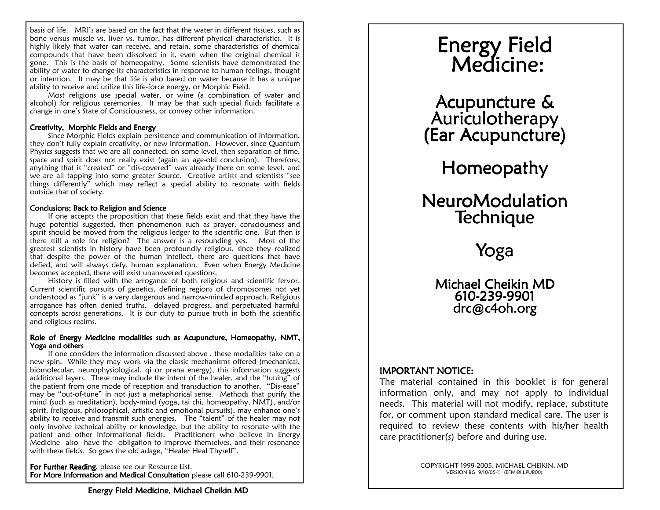basis of life. MRI's are based on the fact that the water in different tissues, such as bone versus muscle vs. liver vs. tumor, has different physical characteristics. It is highly likely that water can receive, and retain, some characteristics of chemical compounds that have been dissolved in it, even when the original chemical is gone. This is the basis of homeopathy. Some scientists have demonstrated the ability of water to change its characteristics in response to human feelings, thought or intention. It may be that life is also based on water because it has a unique ability to receive and utilize this life-force energy, or Morphic Field.

Michael Cheikin MD Michael MD

 Most religions use special water, or wine (a combination of water and alcohol) for religious ceremonies. It may be that such special fluids facilitate a change in one's State of Consciousness, or convey other information.

# Creativity, Morphic Fields and Energy

 Since Morphic Fields explain persistence and communication of information, they don't fully explain creativity, or new information. However, since Quantum Physics suggests that we are all connected, on some level, then separation of time, space and spirit does not really exist (again an age-old conclusion). Therefore, anything that is "created" or "dis-covered" was already there on some level, and we are all tapping into some greater Source. Creative artists and scientists "see things differently" which may reflect a special ability to resonate with fields outside that of society.

# Conclusions; Back to Religion and Science

 If one accepts the proposition that these fields exist and that they have the huge potential suggested, then phenomenon such as prayer, consciousness and spirit should be moved from the religious ledger to the scientific one. But then is there still a role for religion? The answer is a resounding yes. Most of the greatest scientists in history have been profoundly religious, since they realized that despite the power of the human intellect, there are questions that have defied, and will always defy, human explanation. Even when Energy Medicine becomes accepted, there will exist unanswered questions.

 History is filled with the arrogance of both religious and scientific fervor. Current scientific pursuits of genetics, defining regions of chromosomes not yet understood as "junk" is a very dangerous and narrow-minded approach. Religious arrogance has often denied truths, delayed progress, and perpetuated harmful concepts across generations. It is our duty to pursue truth in both the scientific and religious realms.

# Role of Energy Medicine modalities such as Acupuncture, Homeopathy, NMT, Yoga and others

 If one considers the information discussed above , these modalities take on a new spin. While they may work via the classic mechanisms offered (mechanical, biomolecular, neurophysiological, qi or prana energy), this information suggests additional layers. These may include the intent of the healer, and the "tuning" of the patient from one mode of reception and transduction to another. "Dis-ease" may be "out-of-tune" in not just a metaphorical sense. Methods that purify the mind (such as meditation), body-mind (yoga, tai chi, homeopathy, NMT), and/or spirit, (religious, philosophical, artistic and emotional pursuits), may enhance one's ability to receive and transmit such energies. The "talent" of the healer may not only involve technical ability or knowledge, but the ability to resonate with the patient and other informational fields. Practitioners who believe in Energy Medicine also have the obligation to improve themselves, and their resonance with these fields. So goes the old adage, "Healer Heal Thyself".

For Further Reading, please see our Resource List.  $\mathop{\mathsf{For}}\nolimits$  More Information and Medical Consultation <code>please</code> call 610-239-9901.

# Energy Field Field Medicine: Medicine: Medicine:

Energy Field Medicine Energy Field Medicine

Acupuncture & Acupuncture &Auriculotherapy (Ear Acupuncture)

Homeopathy Homeopathy

# NeuroModulation Technique

Yoga

Michael Cheikin MD 610-239-9901 drc@c4oh.org

# **IMPORTANT NOTICE:**

 The material contained in this booklet is for general information only, and may not apply to individual needs. This material will not modify, replace, substitute for, or comment upon standard medical care. The user is required to review these contents with his/her health care practitioner(s) before and during use.

> COPYRIGHT 1999-2005, MICHAEL CHEIKIN, MD VERSION BG 9/10/05-11 (EFM-BH.PUB00)

> > Page 1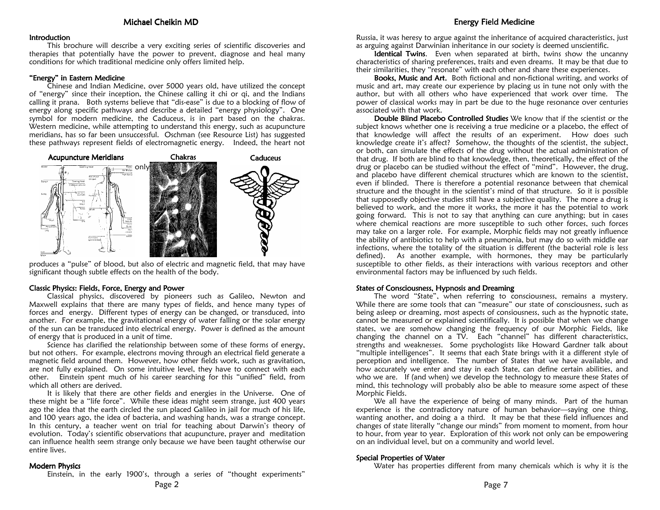### **Introduction**

 This brochure will describe a very exciting series of scientific discoveries and therapies that potentially have the power to prevent, diagnose and heal many conditions for which traditional medicine only offers limited help.

# "Energy" in Eastern Medicine

 Chinese and Indian Medicine, over 5000 years old, have utilized the concept of "energy" since their inception, the Chinese calling it chi or qi, and the Indians calling it prana. Both systems believe that "dis-ease" is due to a blocking of flow of energy along specific pathways and describe a detailed "energy physiology". One symbol for modern medicine, the Caduceus, is in part based on the chakras. Western medicine, while attempting to understand this energy, such as acupuncture meridians, has so far been unsuccessful. Oschman (see Resource List) has suggested these pathways represent fields of electromagnetic energy. Indeed, the heart not



produces a "pulse" of blood, but also of electric and magnetic field, that may have significant though subtle effects on the health of the body.

### Classic Physics: Fields, Force, Energy and Power

 Classical physics, discovered by pioneers such as Galileo, Newton and Maxwell explains that there are many types of fields, and hence many types of forces and energy. Different types of energy can be changed, or transduced, into another. For example, the gravitational energy of water falling or the solar energy of the sun can be transduced into electrical energy. Power is defined as the amount of energy that is produced in a unit of time.

 Science has clarified the relationship between some of these forms of energy, but not others. For example, electrons moving through an electrical field generate a magnetic field around them. However, how other fields work, such as gravitation, are not fully explained. On some intuitive level, they have to connect with each other. Einstein spent much of his career searching for this "unified" field, from which all others are derived.

 It is likely that there are other fields and energies in the Universe. One of these might be a "life force". While these ideas might seem strange, just 400 years ago the idea that the earth circled the sun placed Galileo in jail for much of his life, and 100 years ago, the idea of bacteria, and washing hands, was a strange concept. In this century, a teacher went on trial for teaching about Darwin's theory of evolution. Today's scientific observations that acupuncture, prayer and meditation can influence health seem strange only because we have been taught otherwise our entire lives.

### **Modern Physics**

Einstein, in the early 1900's, through a series of "thought experiments"

# Energy Field Medicine Energy Field Medicine

Russia, it was heresy to argue against the inheritance of acquired characteristics, just as arguing against Darwinian inheritance in our society is deemed unscientific.

**Identical Twins**. Even when separated at birth, twins show the uncanny characteristics of sharing preferences, traits and even dreams. It may be that due to their similarities, they "resonate" with each other and share these experiences.

**Books, Music and Art.** Both fictional and non-fictional writing, and works of music and art, may create our experience by placing us in tune not only with the author, but with all others who have experienced that work over time. The power of classical works may in part be due to the huge resonance over centuries associated with that work.

**Double Blind Placebo Controlled Studies** We know that if the scientist or the subject knows whether one is receiving a true medicine or a placebo, the effect of that knowledge will affect the results of an experiment. How does such knowledge create it's affect? Somehow, the thoughts of the scientist, the subject, or both, can simulate the effects of the drug without the actual administration of that drug. If both are blind to that knowledge, then, theoretically, the effect of the drug or placebo can be studied without the effect of "mind". However, the drug, and placebo have different chemical structures which are known to the scientist, even if blinded. There is therefore a potential resonance between that chemical structure and the thought in the scientist's mind of that structure. So it is possible that supposedly objective studies still have a subjective quality. The more a drug is believed to work, and the more it works, the more it has the potential to work going forward. This is not to say that anything can cure anything; but in cases where chemical reactions are more susceptible to such other forces, such forces may take on a larger role. For example, Morphic fields may not greatly influence the ability of antibiotics to help with a pneumonia, but may do so with middle ear infections, where the totality of the situation is different (the bacterial role is less defined). As another example, with hormones, they may be particularly susceptible to other fields, as their interactions with various receptors and other environmental factors may be influenced by such fields.

# States of Consciousness, Hypnosis and Dreaming

 The word "State", when referring to consciousness, remains a mystery. While there are some tools that can "measure" our state of consciousness, such as being asleep or dreaming, most aspects of consiousness, such as the hypnotic state, cannot be measured or explained scientifically. It is possible that when we change states, we are somehow changing the frequency of our Morphic Fields, like changing the channel on a TV. Each "channel" has different characteristics, strengths and weaknesses. Some psychologists like Howard Gardner talk about "multiple intelligences". It seems that each State brings with it a different style of perception and intelligence. The number of States that we have available, and how accurately we enter and stay in each State, can define certain abilities, and who we are. If (and when) we develop the technology to measure these States of mind, this technology will probably also be able to measure some aspect of these Morphic Fields.

We all have the experience of being of many minds. Part of the human experience is the contradictory nature of human behavior—saying one thing, wanting another, and doing a a third. It may be that these field influences and changes of state literally "change our minds" from moment to moment, from hour to hour, from year to year. Exploration of this work not only can be empowering on an individual level, but on a community and world level.

# Special Properties of Water

Water has properties different from many chemicals which is why it is the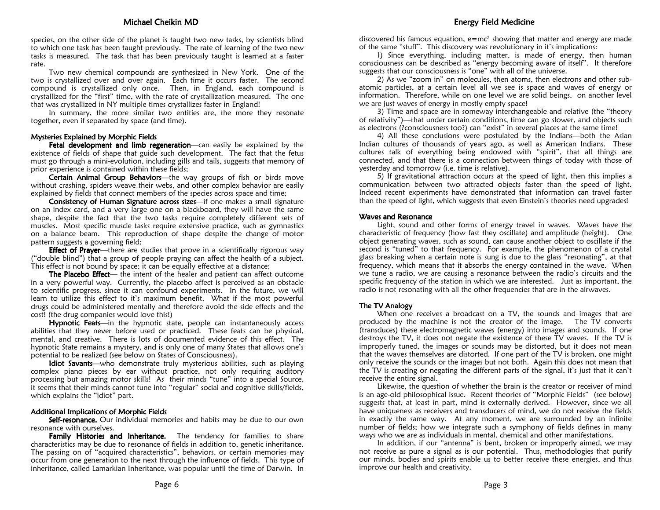species, on the other side of the planet is taught two new tasks, by scientists blind to which one task has been taught previously. The rate of learning of the two new tasks is measured. The task that has been previously taught is learned at a faster rate.

 Two new chemical compounds are synthesized in New York. One of the two is crystallized over and over again. Each time it occurs faster. The second compound is crystallized only once. Then, in England, each compound is crystallized for the "first" time, with the rate of crystallization measured. The one that was crystallized in NY multiple times crystallizes faster in England!

 In summary, the more similar two entities are, the more they resonate together, even if separated by space (and time).

# Mysteries Explained by Morphic Fields

Fetal development and limb regeneration—can easily be explained by the  $\overline{F}$ existence of fields of shape that guide such development. The fact that the fetus must go through a mini-evolution, including gills and tails, suggests that memory of prior experience is contained within these fields;

**Certain Animal Group Behaviors**—the way groups of fish or birds move without crashing, spiders weave their webs, and other complex behavior are easily explained by fields that connect members of the species across space and time;

Consistency of Human Signature across sizes—if one makes a small signature on an index card, and a very large one on a blackboard, they will have the same shape, despite the fact that the two tasks require completely different sets of muscles. Most specific muscle tasks require extensive practice, such as gymnastics on a balance beam. This reproduction of shape despite the change of motor pattern suggests a governing field;

**Effect of Prayer**—there are studies that prove in a scientifically rigorous way ("double blind") that a group of people praying can affect the health of a subject. This effect is not bound by space; it can be equally effective at a distance;

**The Placebo Effect**— the intent of the healer and patient can affect outcome in a very powerful way. Currently, the placebo affect is perceived as an obstacle to scientific progress, since it can confound experiments. In the future, we will learn to utilize this effect to it's maximum benefit. What if the most powerful drugs could be administered mentally and therefore avoid the side effects and the cost! (the drug companies would love this!)

Hypnotic Feats—in the hypnotic state, people can instantaneously access abilities that they never before used or practiced. These feats can be physical, mental, and creative. There is lots of documented evidence of this effect. The hypnotic State remains a mystery, and is only one of many States that allows one's potential to be realized (see below on States of Consciousness).

Idiot Savants—who demonstrate truly mysterious abilities, such as playing complex piano pieces by ear without practice, not only requiring auditory processing but amazing motor skills! As their minds "tune" into a special Source, it seems that their minds cannot tune into "regular" social and cognitive skills/fields, which explains the "idiot" part.

### Additional Implications of Morphic Fields

**Self-resonance.** Our individual memories and habits may be due to our own resonance with ourselves.

Family Histories and Inheritance. The tendency for families to share characteristics may be due to resonance of fields in addition to, genetic inheritance. The passing on of "acquired characteristics", behaviors, or certain memories may occur from one generation to the next through the influence of fields. This type of inheritance, called Lamarkian Inheritance, was popular until the time of Darwin. In discovered his famous equation,  $e{=}\text{mc}^2$  showing that matter and energy are made of the same "stuff". This discovery was revolutionary in it's implications:

 1) Since everything, including matter, is made of energy, then human consciousness can be described as "energy becoming aware of itself". It therefore suggests that our consciousness is "one" with all of the universe.

 2) As we "zoom in" on molecules, then atoms, then electrons and other subatomic particles, at a certain level all we see is space and waves of energy or information. Therefore, while on one level we are solid beings, on another level we are just waves of energy in mostly empty space!

 3) Time and space are in someway interchangeable and relative (the "theory of relativity")—that under certain conditions, time can go slower, and objects such as electrons (?consciousness too?) can "exist" in several places at the same time!

 4) All these conclusions were postulated by the Indians—both the Asian Indian cultures of thousands of years ago, as well as American Indians. These cultures talk of everything being endowed with "spirit", that all things are connected, and that there is a connection between things of today with those of yesterday and tomorrow (i.e. time is relative).

 5) If gravitational attraction occurs at the speed of light, then this implies a communication between two attracted objects faster than the speed of light. Indeed recent experiments have demonstrated that information can travel faster than the speed of light, which suggests that even Einstein's theories need upgrades!

# Waves and Resonance

 Light, sound and other forms of energy travel in waves. Waves have the characteristic of frequency (how fast they oscillate) and amplitude (height). One object generating waves, such as sound, can cause another object to oscillate if the second is "tuned" to that frequency. For example, the phenomenon of a crystal glass breaking when a certain note is sung is due to the glass "resonating", at that frequency, which means that it absorbs the energy contained in the wave. When we tune a radio, we are causing a resonance between the radio's circuits and the specific frequency of the station in which we are interested. Just as important, the radio is not resonating with all the other frequencies that are in the airwaves.

# The  $TV$  Analogy

 When one receives a broadcast on a TV, the sounds and images that are produced by the machine is not the creator of the image. The TV converts (transduces) these electromagnetic waves (energy) into images and sounds. If one destroys the TV, it does not negate the existence of these TV waves. If the TV is improperly tuned, the images or sounds may be distorted, but it does not mean that the waves themselves are distorted. If one part of the TV is broken, one might only receive the sounds or the images but not both. Again this does not mean that the TV is creating or negating the different parts of the signal, it's just that it can't receive the entire signal.

 Likewise, the question of whether the brain is the creator or receiver of mind is an age-old philosophical issue. Recent theories of "Morphic Fields" (see below) suggests that, at least in part, mind is externally derived. However, since we all have uniqueness as receivers and transducers of mind, we do not receive the fields in exactly the same way. At any moment, we are surrounded by an infinite number of fields; how we integrate such a symphony of fields defines in many ways who we are as individuals in mental, chemical and other manifestations.

 In addition, if our "antenna" is bent, broken or improperly aimed, we may not receive as pure a signal as is our potential. Thus, methodologies that purify our minds, bodies and spirits enable us to better receive these energies, and thus improve our health and creativity.